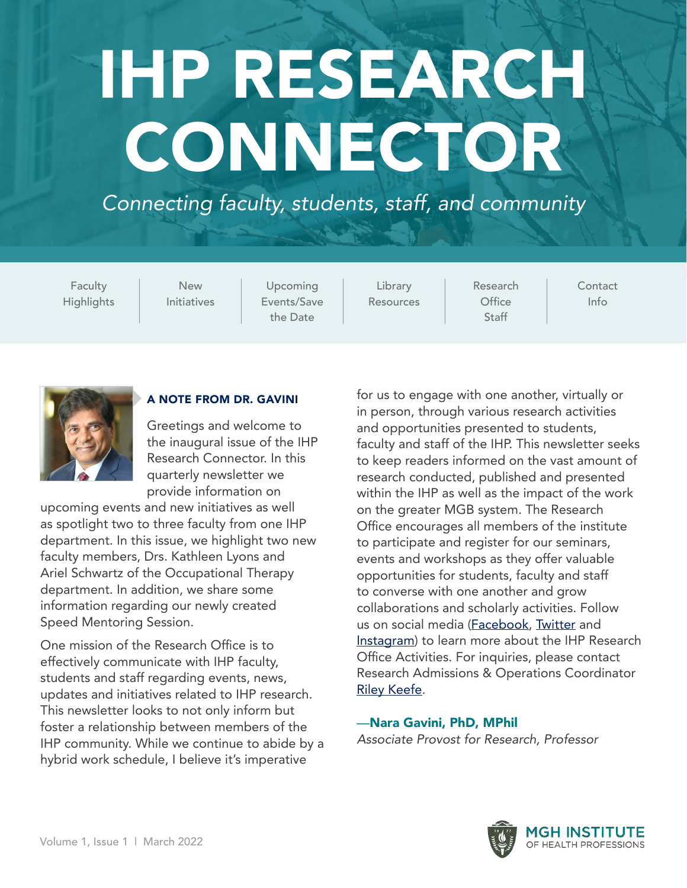# <span id="page-0-0"></span>IHP RESEARCH CONNECTOR

*Connecting faculty, students, staff, and community* 

**Faculty Highlights** 

[New](#page-4-0)  [Initiatives](#page-4-0) 

[Upcoming](#page-5-0)  [Events/Save](#page-5-0)  [the Date](#page-5-0) 

[Library](#page-7-0)  [Resources](#page-7-0)  [Research](#page-8-0)  **Office** [Staff](#page-8-0) 

**Contact** [Info](#page-8-0) 



#### A NOTE FROM DR. GAVINI

Greetings and welcome to the inaugural issue of the IHP Research Connector. In this quarterly newsletter we provide information on

upcoming events and new initiatives as well as spotlight two to three faculty from one IHP department. In this issue, we highlight two new faculty members, Drs. Kathleen Lyons and Ariel Schwartz of the Occupational Therapy department. In addition, we share some information regarding our newly created Speed Mentoring Session.

One mission of the Research Office is to effectively communicate with IHP faculty, students and staff regarding events, news, updates and initiatives related to IHP research. This newsletter looks to not only inform but foster a relationship between members of the IHP community. While we continue to abide by a hybrid work schedule, I believe it's imperative

for us to engage with one another, virtually or in person, through various research activities and opportunities presented to students, faculty and staff of the IHP. This newsletter seeks to keep readers informed on the vast amount of research conducted, published and presented within the IHP as well as the impact of the work on the greater MGB system. The Research Office encourages all members of the institute to participate and register for our seminars, events and workshops as they offer valuable opportunities for students, faculty and staff to converse with one another and grow collaborations and scholarly activities. Follow us on social media (**Facebook**, **[Twitter](https://twitter.com/IHPResearch)** and [Instagram\)](https://www.instagram.com/mghinstitute/) to learn more about the IHP Research Office Activities. For inquiries, please contact Research Admissions & Operations Coordinator [Riley Keefe](mailto:mailto:rkeefe%40mghihp.edu?subject=).

—Nara Gavini, PhD, MPhil *Associate Provost for Research, Professor* 

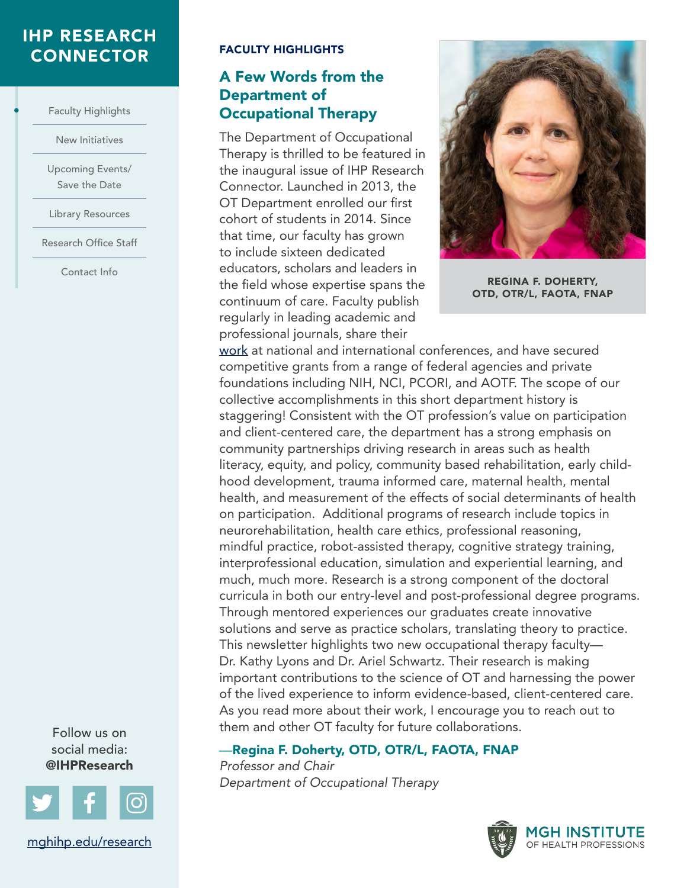#### <span id="page-1-0"></span>[IHP RESEARCH](#page-0-0)  CONNECTOR FACULTY HIGHLIGHTS

Faculty Highlights

•

[New Initiatives](#page-4-0) 

[Upcoming Events/](#page-5-0)  [Save the Date](#page-5-0) 

[Library Resources](#page-7-0) 

[Research Office Staff](#page-8-0)

[Contact Info](#page-8-0) 

#### A Few Words from the Department of **Occupational Therapy**

The Department of Occupational Therapy is thrilled to be featured in the inaugural issue of IHP Research Connector. Launched in 2013, the OT Department enrolled our first cohort of students in 2014. Since that time, our faculty has grown to include sixteen dedicated educators, scholars and leaders in the field whose expertise spans the **REGINA F. DOHERTY,** continuum of care. Faculty publish regularly in leading academic and professional journals, share their



work at national and international conferences, and have secured competitive grants from a range of federal agencies and private foundations including NIH, NCI, PCORI, and AOTF. The scope of our collective accomplishments in this short department history is staggering! Consistent with the OT profession's value on participation and client-centered care, the department has a strong emphasis on community partnerships driving research in areas such as health literacy, equity, and policy, community based rehabilitation, early childhood development, trauma informed care, maternal health, mental health, and measurement of the effects of social determinants of healt h on participation. Additional programs of research include topics in neurorehabilitation, health care ethics, professional reasoning, mindful practice, robot-assisted therapy, cognitive strategy training, interprofessional education, simulation and experiential learning, and much, much more. Research is a strong component of the doctoral curricula in both our entry-level and post-professional degree program s. Through mentored experiences our graduates create innovative solutions and serve as practice scholars, translating theory to practice. This newsletter highlights two new occupational therapy faculty— Dr. Kathy Lyons and Dr. Ariel Schwartz. Their research is making important contributions to the science of OT and harnessing the powe r of the lived experience to inform evidence-based, client-centered care. As you read more about their work, I encourage you to reach out to them and other OT faculty for future collaborations.

#### —Regina F. Doherty, OTD, OTR/L, FAOTA, FNAP

*Professor and Chair Department of Occupational Therapy* 



Follow us on social media: @IHPResearch

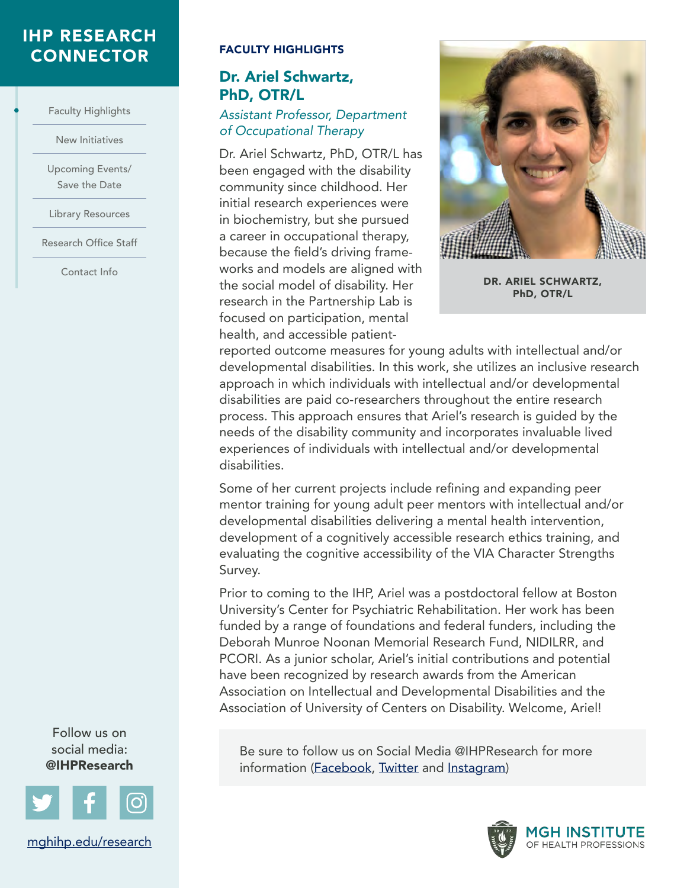#### [IHP RESEARCH](#page-0-0)  CONNECTOR FACULTY HIGHLIGHTS

[Faculty Highlights](#page-1-0) 

•

[New Initiatives](#page-4-0) 

[Upcoming Events/](#page-5-0)  [Save the Date](#page-5-0) 

[Library Resources](#page-7-0) 

[Research Office Staff](#page-8-0)

[Contact Info](#page-8-0) 

#### Dr. Ariel Schwartz, PhD, OTR/L

#### *Assistant Professor, Department of Occupational Therapy*

Dr. Ariel Schwartz, PhD, OTR/L has been engaged with the disability community since childhood. Her initial research experiences were in biochemistry, but she pursued a career in occupational therapy, because the field's driving frameworks and models are aligned with the social model of disability. Her research in the Partnership Lab is focused on participation, mental health, and accessible patient-



DR. ARIEL SCHWARTZ, PhD, OTR/L

reported outcome measures for young adults with intellectual and/or developmental disabilities. In this work, she utilizes an inclusive research approach in which individuals with intellectual and/or developmental disabilities are paid co-researchers throughout the entire research process. This approach ensures that Ariel's research is guided by the needs of the disability community and incorporates invaluable lived experiences of individuals with intellectual and/or developmental disabilities.

Some of her current projects include refining and expanding peer mentor training for young adult peer mentors with intellectual and/or developmental disabilities delivering a mental health intervention, development of a cognitively accessible research ethics training, and evaluating the cognitive accessibility of the VIA Character Strengths Survey.

Prior to coming to the IHP, Ariel was a postdoctoral fellow at Boston University's Center for Psychiatric Rehabilitation. Her work has been funded by a range of foundations and federal funders, including the Deborah Munroe Noonan Memorial Research Fund, NIDILRR, and PCORI. As a junior scholar, Ariel's initial contributions and potential have been recognized by research awards from the American Association on Intellectual and Developmental Disabilities and the Association of University of Centers on Disability. Welcome, Ariel!

Be sure to follow us on Social Media @IHPResearch for more information [\(Facebook](https://www.facebook.com/MGHInstituteofHealthProfessions/), [Twitter](https://twitter.com/IHPResearch) and [Instagram\)](https://www.instagram.com/mghinstitute/)



Follow us on social media: @IHPResearch

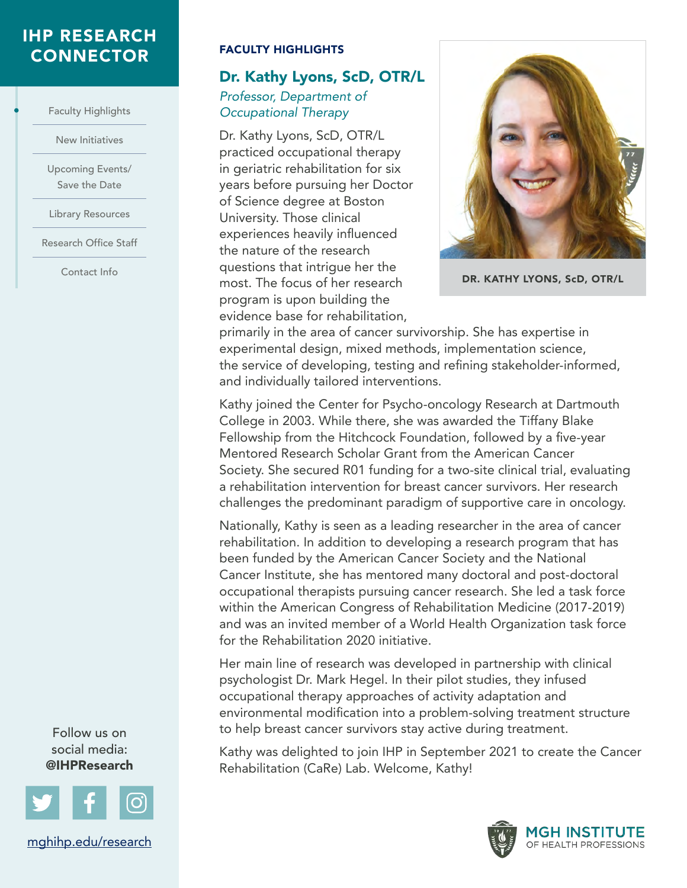#### [IHP RESEARCH](#page-0-0)  CONNECTOR FACULTY HIGHLIGHTS

[Faculty Highlights](#page-1-0) 

•

[New Initiatives](#page-4-0) 

[Upcoming Events/](#page-5-0)  [Save the Date](#page-5-0) 

[Library Resources](#page-7-0) 

[Research Office Staff](#page-8-0)

[Contact Info](#page-8-0) 

#### Dr. Kathy Lyons, ScD, OTR/L *Professor, Department of Occupational Therapy*

Dr. Kathy Lyons, ScD, OTR/L practiced occupational therapy in geriatric rehabilitation for six years before pursuing her Doctor of Science degree at Boston University. Those clinical experiences heavily influenced the nature of the research questions that intrigue her the most. The focus of her research program is upon building the evidence base for rehabilitation,



DR. KATHY LYONS, ScD, OTR/L

primarily in the area of cancer survivorship. She has expertise in experimental design, mixed methods, implementation science, the service of developing, testing and refining stakeholder-informed, and individually tailored interventions.

Kathy joined the Center for Psycho-oncology Research at Dartmouth College in 2003. While there, she was awarded the Tiffany Blake Fellowship from the Hitchcock Foundation, followed by a five-year Mentored Research Scholar Grant from the American Cancer Society. She secured R01 funding for a two-site clinical trial, evaluating a rehabilitation intervention for breast cancer survivors. Her research challenges the predominant paradigm of supportive care in oncology.

Nationally, Kathy is seen as a leading researcher in the area of cancer rehabilitation. In addition to developing a research program that has been funded by the American Cancer Society and the National Cancer Institute, she has mentored many doctoral and post-doctoral occupational therapists pursuing cancer research. She led a task force within the American Congress of Rehabilitation Medicine (2017-2019) and was an invited member of a World Health Organization task force for the Rehabilitation 2020 initiative.

Her main line of research was developed in partnership with clinical psychologist Dr. Mark Hegel. In their pilot studies, they infused occupational therapy approaches of activity adaptation and environmental modification into a problem-solving treatment structure to help breast cancer survivors stay active during treatment.

Kathy was delighted to join IHP in September 2021 to create the Cancer Rehabilitation (CaRe) Lab. Welcome, Kathy!



Follow us on social media: @IHPResearch

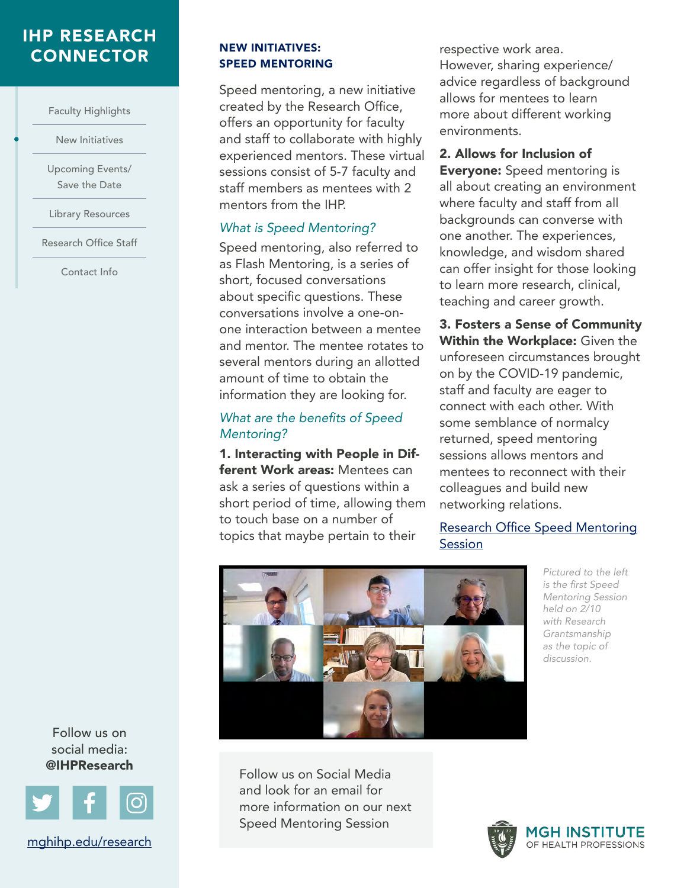#### <span id="page-4-0"></span>[IHP RESEARCH](#page-0-0)  **CONNECTOR** NEW INITIATIVES:

[Faculty Highlights](#page-1-0) 

New Initiatives

•

[Upcoming Events/](#page-5-0)  [Save the Date](#page-5-0) 

[Library Resources](#page-7-0) 

[Research Office Staff](#page-8-0)

[Contact Info](#page-8-0) 

SPEED MENTORING

Speed mentoring, a new initiative created by the Research Office, offers an opportunity for faculty and staff to collaborate with highly experienced mentors. These virtual sessions consist of 5-7 faculty and staff members as mentees with 2 mentors from the IHP.

#### *What is Speed Mentoring?*

Speed mentoring, also referred to as Flash Mentoring, is a series of short, focused conversations about specific questions. These conversations involve a one-onone interaction between a mentee and mentor. The mentee rotates to several mentors during an allotted amount of time to obtain the information they are looking for.

#### What are the benefits of Speed *Mentoring?*

1. Interacting with People in Different Work areas: Mentees can ask a series of questions within a short period of time, allowing them to touch base on a number of topics that maybe pertain to their

respective work area. However, sharing experience/ advice regardless of background allows for mentees to learn more about different working environments.

2. Allows for Inclusion of **Everyone:** Speed mentoring is all about creating an environment where faculty and staff from all backgrounds can converse with one another. The experiences, knowledge, and wisdom shared can offer insight for those looking to learn more research, clinical, teaching and career growth.

3. Fosters a Sense of Community Within the Workplace: Given the unforeseen circumstances brought on by the COVID-19 pandemic, staff and faculty are eager to connect with each other. With some semblance of normalcy returned, speed mentoring sessions allows mentors and mentees to reconnect with their colleagues and build new networking relations.

[Research Office Speed Mentoring](https://docs.google.com/forms/d/1i1USE9WL8-LT05obfXwgVgnbZGI7DZDLD8DJFrQ5_Q8/edit) **Session** 



*Pictured to the left*  is the first Speed *Mentoring Session held on 2/10 with Research Grantsmanship as the topic of discussion.* 

Follow us on social media: @IHPResearch



[mghihp.edu/research](https://www.mghihp.edu/research) 

Follow us on Social Media and look for an email for more information on our next Speed Mentoring Session

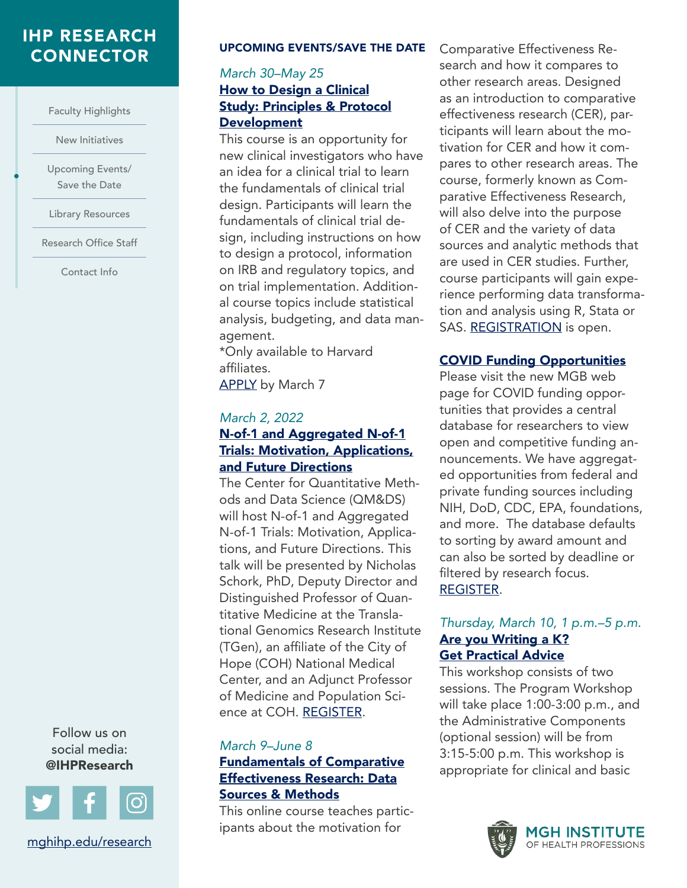## <span id="page-5-0"></span>[IHP RESEARCH](#page-0-0)

[Faculty Highlights](#page-1-0) 

[New Initiatives](#page-4-0) 

Upcoming Events/ Save the Date

•

[Library Resources](#page-7-0) 

[Research Office Staff](#page-8-0)

[Contact Info](#page-8-0) 

**CONNECTOR** UPCOMING EVENTS/SAVE THE DATE

#### [Development](https://secure-web.cisco.com/1c7GrN5seMS_DoYvB3N7iI8ZG-285wvcUNniCkwlIBmharzLe21_d0EYZ_Jh1LRXu8A4X8oEp-cB8Y41TZKL3rxLLKs0GLwxx4Bhz7rlZOjrOZdpS55jOTUoyVqbQ_v06MTE8SKh3u3e-IktHM0oI_XkOtGc3k_wecNHhrEvNJqjdGkHuNss531YlL1G9QQDOlpNC6jq8__32n9jl6jeckqXLeTiTV8dNYrOXuiC1j_ni_ddL5a2UxJLNNUVnChwDmhdfkAxNKBjD4sX1vRHBROBm7HRYAyJ5cyQJ59fbpMbxryi1x2edkQ1WRh9vyWSV1k6BDnF1TutyekB3D2flFg/https%3A%2F%2Fharvard.us10.list-manage.com%2Ftrack%2Fclick%3Fu%3Dc13f5bf0941e50b9ec52eb776%26id%3Df7ee6d0bb4%26e%3Da06d55428d) *March 30–May 25*  [How to Design a Clinical](https://secure-web.cisco.com/1c7GrN5seMS_DoYvB3N7iI8ZG-285wvcUNniCkwlIBmharzLe21_d0EYZ_Jh1LRXu8A4X8oEp-cB8Y41TZKL3rxLLKs0GLwxx4Bhz7rlZOjrOZdpS55jOTUoyVqbQ_v06MTE8SKh3u3e-IktHM0oI_XkOtGc3k_wecNHhrEvNJqjdGkHuNss531YlL1G9QQDOlpNC6jq8__32n9jl6jeckqXLeTiTV8dNYrOXuiC1j_ni_ddL5a2UxJLNNUVnChwDmhdfkAxNKBjD4sX1vRHBROBm7HRYAyJ5cyQJ59fbpMbxryi1x2edkQ1WRh9vyWSV1k6BDnF1TutyekB3D2flFg/https%3A%2F%2Fharvard.us10.list-manage.com%2Ftrack%2Fclick%3Fu%3Dc13f5bf0941e50b9ec52eb776%26id%3Df7ee6d0bb4%26e%3Da06d55428d)  [Study: Principles & Protocol](https://secure-web.cisco.com/1c7GrN5seMS_DoYvB3N7iI8ZG-285wvcUNniCkwlIBmharzLe21_d0EYZ_Jh1LRXu8A4X8oEp-cB8Y41TZKL3rxLLKs0GLwxx4Bhz7rlZOjrOZdpS55jOTUoyVqbQ_v06MTE8SKh3u3e-IktHM0oI_XkOtGc3k_wecNHhrEvNJqjdGkHuNss531YlL1G9QQDOlpNC6jq8__32n9jl6jeckqXLeTiTV8dNYrOXuiC1j_ni_ddL5a2UxJLNNUVnChwDmhdfkAxNKBjD4sX1vRHBROBm7HRYAyJ5cyQJ59fbpMbxryi1x2edkQ1WRh9vyWSV1k6BDnF1TutyekB3D2flFg/https%3A%2F%2Fharvard.us10.list-manage.com%2Ftrack%2Fclick%3Fu%3Dc13f5bf0941e50b9ec52eb776%26id%3Df7ee6d0bb4%26e%3Da06d55428d)

This course is an opportunity for new clinical investigators who have an idea for a clinical trial to learn the fundamentals of clinical trial design. Participants will learn the fundamentals of clinical trial design, including instructions on how to design a protocol, information on IRB and regulatory topics, and on trial implementation. Additional course topics include statistical analysis, budgeting, and data management.

\*Only available to Harvard affiliates. [APPLY](https://secure-web.cisco.com/1Syy_Bu_utxcgiY8Ms4ztiJvMlVcQhpLop1zdNh7XBAeVUqBVYCGZEmZlHA95b32VJYDKFDMOHt0-16-Oyf64FT3jrfG5lQzVx5dt5D1m66MGXag6U1BGyCcqxgrYtSQ9-BVMzk4OKZevTAnvporrjIOg9N2ynEOB_ZlC-fS9ZFY6LRrsN_p722bp6q3spmtKvIOKdKkD05b3dVR6Z5gWBW6dEvIM4MPS_ME9G3vzFBFeo0RahTJjr7EmNoENuqOsChf7zA9HubDaeLftifBdLs4gogQCRCipkXmwsnbl3THrocshTwP6abzHaoE5Htv88w7eb469ok8TTbFYScJXbQ/https%3A%2F%2Fharvard.us10.list-manage.com%2Ftrack%2Fclick%3Fu%3Dc13f5bf0941e50b9ec52eb776%26id%3Dd1f6bb8ea5%26e%3Da06d55428d) by March 7

#### *March 2, 2022*

#### [N-of-1 and Aggregated N-of-1](https://ilearn.tuftsctsi.org/product?catalog=BERD2022_06_Online

)  [Trials: Motivation, Applications,](https://ilearn.tuftsctsi.org/product?catalog=BERD2022_06_Online

)  [and Future Directions](https://ilearn.tuftsctsi.org/product?catalog=BERD2022_06_Online

)

The Center for Quantitative Methods and Data Science (QM&DS) will host N-of-1 and Aggregated N-of-1 Trials: Motivation, Applications, and Future Directions. This talk will be presented by Nicholas Schork, PhD, Deputy Director and Distinguished Professor of Quantitative Medicine at the Translational Genomics Research Institute (TGen), an affiliate of the City of Hope (COH) National Medical Center, and an Adjunct Professor of Medicine and Population Science at COH. [REGISTER.](https://ilearn.tuftsctsi.org/product?catalog=BERD2022_06_Online)

#### *March 9–June 8*  [Fundamentals of Comparative](https://secure-web.cisco.com/1uZVJwMwfoawsGklRRkNJUrnxJIuOKd3Gb5QABL7vWALWTuJEKuVeA06CpECMmhLrsEakRYbcm8zQv6GJ6wgsqoB8ZopAVYV4dGwD2LaRkNXzNoVuaGh7LhSz03-luj_mPQqFluEZ7zKCktRgqJcy9Vvt14VslniOreziwnXiw_KNSojS1ihQzo0CRkYmwMD_pzjT16FilRPLBh-1_CqPZaXuUvkxLuil-_d1jQ3P8l5wQCaYQMl0xB4KaibtHTRAEn6FLOFD03F3IGQ3Jaq7CSBWyyhOqA67sjtB1R9pLZ1M6WZlOxLidQpJCpU7rXu60fwqUjhtarGHKO2xPyfbQw/https%3A%2F%2Fharvard.us10.list-manage.com%2Ftrack%2Fclick%3Fu%3Dc13f5bf0941e50b9ec52eb776%26id%3De28eccd3d8%26e%3Da06d55428d)  [Effectiveness Research: Data](https://secure-web.cisco.com/1uZVJwMwfoawsGklRRkNJUrnxJIuOKd3Gb5QABL7vWALWTuJEKuVeA06CpECMmhLrsEakRYbcm8zQv6GJ6wgsqoB8ZopAVYV4dGwD2LaRkNXzNoVuaGh7LhSz03-luj_mPQqFluEZ7zKCktRgqJcy9Vvt14VslniOreziwnXiw_KNSojS1ihQzo0CRkYmwMD_pzjT16FilRPLBh-1_CqPZaXuUvkxLuil-_d1jQ3P8l5wQCaYQMl0xB4KaibtHTRAEn6FLOFD03F3IGQ3Jaq7CSBWyyhOqA67sjtB1R9pLZ1M6WZlOxLidQpJCpU7rXu60fwqUjhtarGHKO2xPyfbQw/https%3A%2F%2Fharvard.us10.list-manage.com%2Ftrack%2Fclick%3Fu%3Dc13f5bf0941e50b9ec52eb776%26id%3De28eccd3d8%26e%3Da06d55428d)  [Sources & Methods](https://secure-web.cisco.com/1uZVJwMwfoawsGklRRkNJUrnxJIuOKd3Gb5QABL7vWALWTuJEKuVeA06CpECMmhLrsEakRYbcm8zQv6GJ6wgsqoB8ZopAVYV4dGwD2LaRkNXzNoVuaGh7LhSz03-luj_mPQqFluEZ7zKCktRgqJcy9Vvt14VslniOreziwnXiw_KNSojS1ihQzo0CRkYmwMD_pzjT16FilRPLBh-1_CqPZaXuUvkxLuil-_d1jQ3P8l5wQCaYQMl0xB4KaibtHTRAEn6FLOFD03F3IGQ3Jaq7CSBWyyhOqA67sjtB1R9pLZ1M6WZlOxLidQpJCpU7rXu60fwqUjhtarGHKO2xPyfbQw/https%3A%2F%2Fharvard.us10.list-manage.com%2Ftrack%2Fclick%3Fu%3Dc13f5bf0941e50b9ec52eb776%26id%3De28eccd3d8%26e%3Da06d55428d)

This online course teaches participants about the motivation for

Comparative Effectiveness Research and how it compares to other research areas. Designed as an introduction to comparative effectiveness research (CER), participants will learn about the motivation for CER and how it compares to other research areas. The course, formerly known as Comparative Effectiveness Research, will also delve into the purpose of CER and the variety of data sources and analytic methods that are used in CER studies. Further, course participants will gain experience performing data transformation and analysis using R, Stata or SAS. [REGISTRATION](https://secure-web.cisco.com/1rIQQo0oHWWJ-n6AHAUsgC56Aixuh5Uo-xlWEjJv7RYaFzY-tpbsWeIFJ4yIorNfwPXtSp1DrfvfbiUwQ8RfWjm2PiP5ThIhILcNjyusOry6RCUnReiwc6U_mEo5QB0t9wEw9BLW71mgIbbnBDzzMp3bDJ2mw3m8960UODLaxLJdfd2Eo9L5BpPLHYEXkMC3Gk7jJKn3MtB86lpP-7XC5kzE5iFE8NSf_3orx-zKJd4lxuAjio4RRwXIiwITp91rRqs2QKLDnyHyjtDYjZP9YrXVqTgWggW9t7lco15_h8BZZ-J5JU5BmG46cDJgFnMqOOS67b9OGflwtxtlL6u4_GA/https%3A%2F%2Fharvard.us10.list-manage.com%2Ftrack%2Fclick%3Fu%3Dc13f5bf0941e50b9ec52eb776%26id%3D8134c8e392%26e%3Da06d55428d) is open.

#### [COVID Funding Opportunities](https://covidinnovation.partners.org/funding/)

Please visit the new MGB web page for COVID funding opportunities that provides a central database for researchers to view open and competitive funding announcements. We have aggregated opportunities from federal and private funding sources including NIH, DoD, CDC, EPA, foundations, and more. The database defaults to sorting by award amount and can also be sorted by deadline or filtered by research focus. [REGISTER.](https://covidinnovation.partners.org/funding/)

#### *Thursday, March 10, 1 p.m.–5 p.m.*  [Are you Writing a K?](https://catalyst.harvard.edu/calendar/event/workshop-are-you-writing-a-k-get-practical-advice-march-10/)  [Get Practical Advice](https://catalyst.harvard.edu/calendar/event/workshop-are-you-writing-a-k-get-practical-advice-march-10/)

This workshop consists of two sessions. The Program Workshop will take place 1:00-3:00 p.m., and the Administrative Components (optional session) will be from 3:15-5:00 p.m. This workshop is appropriate for clinical and basic



Follow us on social media: @IHPResearch

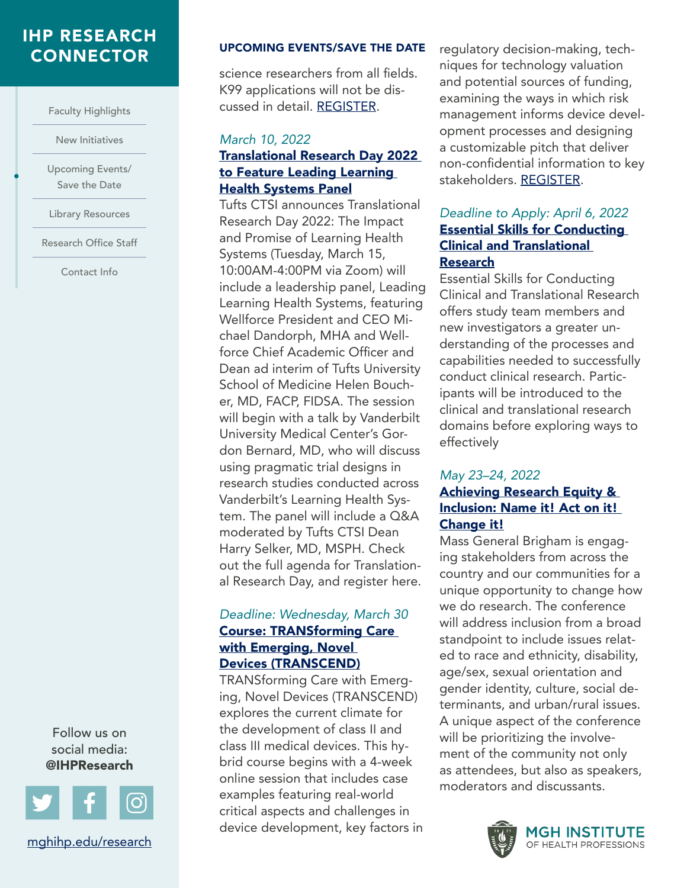## [IHP RESEARCH](#page-0-0)

[Faculty Highlights](#page-1-0) 

[New Initiatives](#page-4-0) 

[Upcoming Events/](#page-5-0)  [Save the Date](#page-5-0) 

•

[Library Resources](#page-7-0) 

[Research Office Staff](#page-8-0)

[Contact Info](#page-8-0) 

Follow us on social media: @IHPResearch



[mghihp.edu/research](https://www.mghihp.edu/research) 

### CONNECTOR UPCOMING EVENTS/SAVE THE DATE

science researchers from all fields. K99 applications will not be discussed in detail. [REGISTER](https://myemail.constantcontact.com/Registration-is-now-open-for-the-K-Writing-Workshop---Thursday--March-10--2022-.html?soid=1101540286588&aid=HujqVboxFgs).

#### *March 10, 2022*  Translational Research Day 2022 to Feature Leading Learning Health Systems Panel

Tufts CTSI announces Translational Research Day 2022: The Impact and Promise of Learning Health Systems (Tuesday, March 15, 10:00AM-4:00PM via Zoom) will include a leadership panel, Leading Learning Health Systems, featuring Wellforce President and CEO Michael Dandorph, MHA and Wellforce Chief Academic Officer and Dean ad interim of Tufts University School of Medicine Helen Boucher, MD, FACP, FIDSA. The session will begin with a talk by Vanderbilt University Medical Center's Gordon Bernard, MD, who will discuss using pragmatic trial designs in research studies conducted across Vanderbilt's Learning Health System. The panel will include a Q&A moderated by Tufts CTSI Dean Harry Selker, MD, MSPH. Check out the full agenda for Translational Research Day, and register here.

#### *Deadline: Wednesday, March 30*  Course: TRANSforming Care with Emerging, Novel Devices (TRANSCEND)

TRANSforming Care with Emerging, Novel Devices (TRANSCEND) explores the current climate for the development of class II and class III medical devices. This hybrid course begins with a 4-week online session that includes case examples featuring real-world critical aspects and challenges in device development, key factors in regulatory decision-making, techniques for technology valuation and potential sources of funding, examining the ways in which risk management informs device development processes and designing a customizable pitch that deliver non-confidential information to key stakeholders. [REGISTER](https://catalyst.harvard.edu/courses/transcend/).

#### *Deadline to Apply: April 6, 2022*  Essential Skills for Conducting Clinical and Translational Research

Essential Skills for Conducting Clinical and Translational Research offers study team members and new investigators a greater understanding of the processes and capabilities needed to successfully conduct clinical research. Participants will be introduced to the clinical and translational research domains before exploring ways to effectively

#### *May 23–24, 2022*  [Achieving Research Equity &](https://advarra.cmail20.com/t/ViewEmail/r/C4915F528E87703A2540EF23F30FEDED?alternativeLink=True)  Inclusion: Name it! Act on it! [Change it!](https://advarra.cmail20.com/t/ViewEmail/r/C4915F528E87703A2540EF23F30FEDED?alternativeLink=True)

Mass General Brigham is engaging stakeholders from across the country and our communities for a unique opportunity to change how we do research. The conference will address inclusion from a broad standpoint to include issues related to race and ethnicity, disability, age/sex, sexual orientation and gender identity, culture, social determinants, and urban/rural issues. A unique aspect of the conference will be prioritizing the involvement of the community not only as attendees, but also as speakers, moderators and discussants.

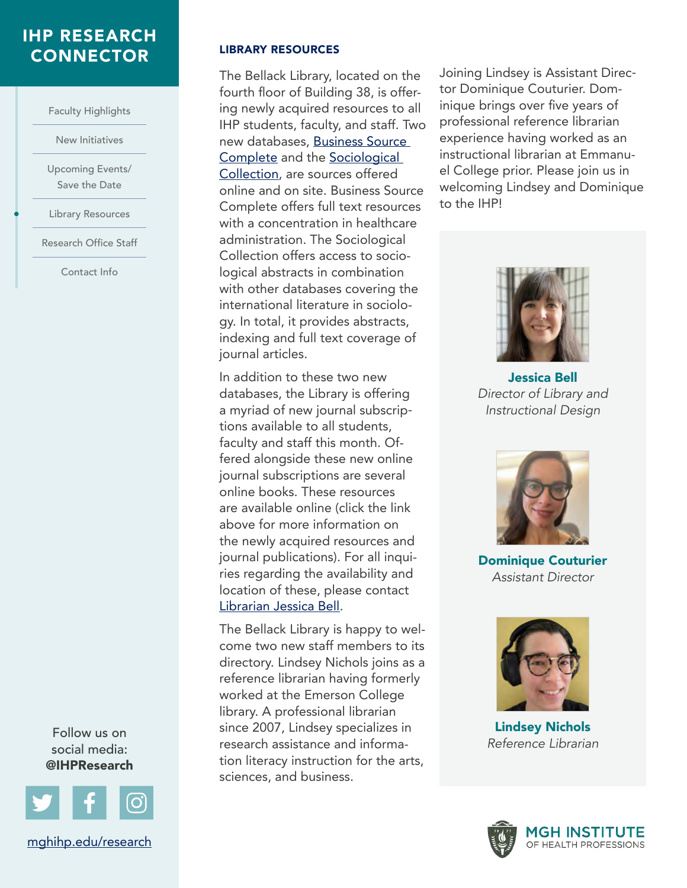#### <span id="page-7-0"></span>[IHP RESEARCH](#page-0-0)  CONNECTOR LIBRARY RESOURCES

[Faculty Highlights](#page-1-0) 

[New Initiatives](#page-4-0) 

[Upcoming Events/](#page-5-0)  [Save the Date](#page-5-0) 

Library Resources

•

[Research Office Staff](#page-8-0)

[Contact Info](#page-8-0) 

Follow us on social media: @IHPResearch



The Bellack Library, located on the fourth floor of Building 38, is offering newly acquired resources to all IHP students, faculty, and staff. Two new databases, [Business Source](https://login.treadwell.idm.oclc.org/login?url=https://search.ebscohost.com/login.aspx?authtype=ip,uid&custid=ns188491&groupid=main&profile=ehost&defaultdb=bth)  [Complete](https://login.treadwell.idm.oclc.org/login?url=https://search.ebscohost.com/login.aspx?authtype=ip,uid&custid=ns188491&groupid=main&profile=ehost&defaultdb=bth) and the [Sociological](https://login.treadwell.idm.oclc.org/login?url=https://www.proquest.com/sociology1?accountid=38928)  [Collection](https://login.treadwell.idm.oclc.org/login?url=https://www.proquest.com/sociology1?accountid=38928), are sources offered online and on site. Business Source Complete offers full text resources with a concentration in healthcare administration. The Sociological Collection offers access to sociological abstracts in combination with other databases covering the international literature in sociology. In total, it provides abstracts, indexing and full text coverage of journal articles.

In addition to these two new databases, the Library is offering a myriad of new journal subscriptions available to all students, faculty and staff this month. Offered alongside these new online journal subscriptions are several online books. These resources are available online (click the link above for more information on the newly acquired resources and journal publications). For all inquiries regarding the availability and location of these, please contact [Librarian Jessica Bell.](mailto:jbell%40mghihp.edu?subject=)

The Bellack Library is happy to welcome two new staff members to its directory. Lindsey Nichols joins as a reference librarian having formerly worked at the Emerson College library. A professional librarian since 2007, Lindsey specializes in research assistance and information literacy instruction for the arts, sciences, and business.

Joining Lindsey is Assistant Director Dominique Couturier. Dominique brings over five years of professional reference librarian experience having worked as an instructional librarian at Emmanuel College prior. Please join us in welcoming Lindsey and Dominique to the IHP!



Jessica Bell *Director of Library and Instructional Design* 



Dominique Couturier *Assistant Director* 



Lindsey Nichols *Reference Librarian*